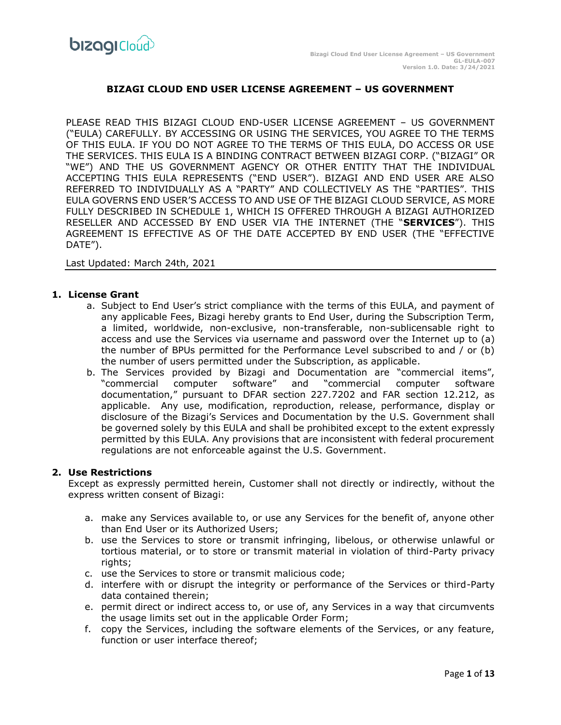## **BIZAGI CLOUD END USER LICENSE AGREEMENT – US GOVERNMENT**

PLEASE READ THIS BIZAGI CLOUD END-USER LICENSE AGREEMENT – US GOVERNMENT ("EULA) CAREFULLY. BY ACCESSING OR USING THE SERVICES, YOU AGREE TO THE TERMS OF THIS EULA. IF YOU DO NOT AGREE TO THE TERMS OF THIS EULA, DO ACCESS OR USE THE SERVICES. THIS EULA IS A BINDING CONTRACT BETWEEN BIZAGI CORP. ("BIZAGI" OR "WE") AND THE US GOVERNMENT AGENCY OR OTHER ENTITY THAT THE INDIVIDUAL ACCEPTING THIS EULA REPRESENTS ("END USER"). BIZAGI AND END USER ARE ALSO REFERRED TO INDIVIDUALLY AS A "PARTY" AND COLLECTIVELY AS THE "PARTIES". THIS EULA GOVERNS END USER'S ACCESS TO AND USE OF THE BIZAGI CLOUD SERVICE, AS MORE FULLY DESCRIBED IN SCHEDULE 1, WHICH IS OFFERED THROUGH A BIZAGI AUTHORIZED RESELLER AND ACCESSED BY END USER VIA THE INTERNET (THE "**SERVICES**"). THIS AGREEMENT IS EFFECTIVE AS OF THE DATE ACCEPTED BY END USER (THE "EFFECTIVE DATE").

Last Updated: March 24th, 2021

#### **1. License Grant**

- a. Subject to End User's strict compliance with the terms of this EULA, and payment of any applicable Fees, Bizagi hereby grants to End User, during the Subscription Term, a limited, worldwide, non-exclusive, non-transferable, non-sublicensable right to access and use the Services via username and password over the Internet up to (a) the number of BPUs permitted for the Performance Level subscribed to and / or (b) the number of users permitted under the Subscription, as applicable.
- b. The Services provided by Bizagi and Documentation are "commercial items", "commercial computer software" and "commercial computer software documentation," pursuant to DFAR section 227.7202 and FAR section 12.212, as applicable. Any use, modification, reproduction, release, performance, display or disclosure of the Bizagi's Services and Documentation by the U.S. Government shall be governed solely by this EULA and shall be prohibited except to the extent expressly permitted by this EULA. Any provisions that are inconsistent with federal procurement regulations are not enforceable against the U.S. Government.

#### **2. Use Restrictions**

Except as expressly permitted herein, Customer shall not directly or indirectly, without the express written consent of Bizagi:

- a. make any Services available to, or use any Services for the benefit of, anyone other than End User or its Authorized Users;
- b. use the Services to store or transmit infringing, libelous, or otherwise unlawful or tortious material, or to store or transmit material in violation of third-Party privacy rights;
- c. use the Services to store or transmit malicious code;
- d. interfere with or disrupt the integrity or performance of the Services or third-Party data contained therein;
- e. permit direct or indirect access to, or use of, any Services in a way that circumvents the usage limits set out in the applicable Order Form;
- f. copy the Services, including the software elements of the Services, or any feature, function or user interface thereof;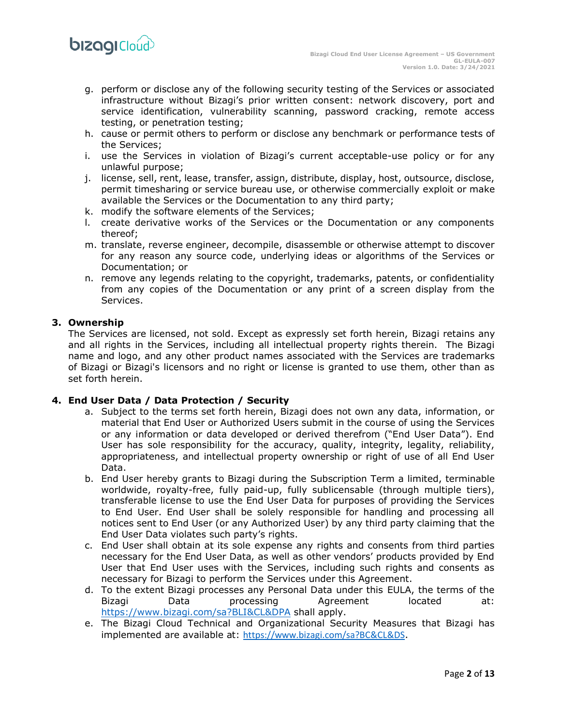

- g. perform or disclose any of the following security testing of the Services or associated infrastructure without Bizagi's prior written consent: network discovery, port and service identification, vulnerability scanning, password cracking, remote access testing, or penetration testing;
- h. cause or permit others to perform or disclose any benchmark or performance tests of the Services;
- i. use the Services in violation of Bizagi's current acceptable-use policy or for any unlawful purpose;
- j. license, sell, rent, lease, transfer, assign, distribute, display, host, outsource, disclose, permit timesharing or service bureau use, or otherwise commercially exploit or make available the Services or the Documentation to any third party;
- k. modify the software elements of the Services;
- l. create derivative works of the Services or the Documentation or any components thereof;
- m. translate, reverse engineer, decompile, disassemble or otherwise attempt to discover for any reason any source code, underlying ideas or algorithms of the Services or Documentation; or
- n. remove any legends relating to the copyright, trademarks, patents, or confidentiality from any copies of the Documentation or any print of a screen display from the Services.

## **3. Ownership**

The Services are licensed, not sold. Except as expressly set forth herein, Bizagi retains any and all rights in the Services, including all intellectual property rights therein. The Bizagi name and logo, and any other product names associated with the Services are trademarks of Bizagi or Bizagi's licensors and no right or license is granted to use them, other than as set forth herein.

# **4. End User Data / Data Protection / Security**

- a. Subject to the terms set forth herein, Bizagi does not own any data, information, or material that End User or Authorized Users submit in the course of using the Services or any information or data developed or derived therefrom ("End User Data"). End User has sole responsibility for the accuracy, quality, integrity, legality, reliability, appropriateness, and intellectual property ownership or right of use of all End User Data.
- b. End User hereby grants to Bizagi during the Subscription Term a limited, terminable worldwide, royalty-free, fully paid-up, fully sublicensable (through multiple tiers), transferable license to use the End User Data for purposes of providing the Services to End User. End User shall be solely responsible for handling and processing all notices sent to End User (or any Authorized User) by any third party claiming that the End User Data violates such party's rights.
- c. End User shall obtain at its sole expense any rights and consents from third parties necessary for the End User Data, as well as other vendors' products provided by End User that End User uses with the Services, including such rights and consents as necessary for Bizagi to perform the Services under this Agreement.
- d. To the extent Bizagi processes any Personal Data under this EULA, the terms of the Bizagi Data processing Agreement located at: <https://www.bizagi.com/sa?BLI&CL&DPA> shall apply.
- e. The Bizagi Cloud Technical and Organizational Security Measures that Bizagi has implemented are available at: <https://www.bizagi.com/sa?BC&CL&DS>.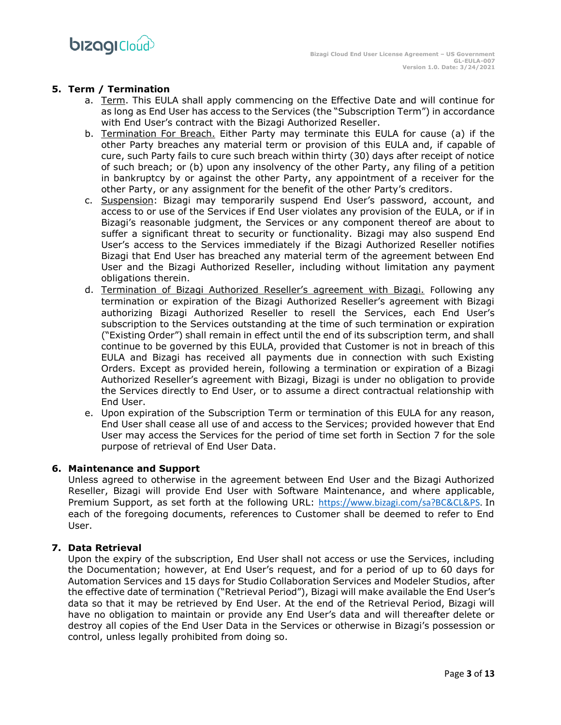# **5. Term / Termination**

- a. Term. This EULA shall apply commencing on the Effective Date and will continue for as long as End User has access to the Services (the "Subscription Term") in accordance with End User's contract with the Bizagi Authorized Reseller.
- b. Termination For Breach. Either Party may terminate this EULA for cause (a) if the other Party breaches any material term or provision of this EULA and, if capable of cure, such Party fails to cure such breach within thirty (30) days after receipt of notice of such breach; or (b) upon any insolvency of the other Party, any filing of a petition in bankruptcy by or against the other Party, any appointment of a receiver for the other Party, or any assignment for the benefit of the other Party's creditors.
- c. Suspension: Bizagi may temporarily suspend End User's password, account, and access to or use of the Services if End User violates any provision of the EULA, or if in Bizagi's reasonable judgment, the Services or any component thereof are about to suffer a significant threat to security or functionality. Bizagi may also suspend End User's access to the Services immediately if the Bizagi Authorized Reseller notifies Bizagi that End User has breached any material term of the agreement between End User and the Bizagi Authorized Reseller, including without limitation any payment obligations therein.
- d. Termination of Bizagi Authorized Reseller's agreement with Bizagi. Following any termination or expiration of the Bizagi Authorized Reseller's agreement with Bizagi authorizing Bizagi Authorized Reseller to resell the Services, each End User's subscription to the Services outstanding at the time of such termination or expiration ("Existing Order") shall remain in effect until the end of its subscription term, and shall continue to be governed by this EULA, provided that Customer is not in breach of this EULA and Bizagi has received all payments due in connection with such Existing Orders. Except as provided herein, following a termination or expiration of a Bizagi Authorized Reseller's agreement with Bizagi, Bizagi is under no obligation to provide the Services directly to End User, or to assume a direct contractual relationship with End User.
- e. Upon expiration of the Subscription Term or termination of this EULA for any reason, End User shall cease all use of and access to the Services; provided however that End User may access the Services for the period of time set forth in Section 7 for the sole purpose of retrieval of End User Data.

# **6. Maintenance and Support**

Unless agreed to otherwise in the agreement between End User and the Bizagi Authorized Reseller, Bizagi will provide End User with Software Maintenance, and where applicable, Premium Support, as set forth at the following URL: [https://www.bizagi.com/sa?BC&CL&PS.](https://www.bizagi.com/sa?BC&CL&PS) In each of the foregoing documents, references to Customer shall be deemed to refer to End User.

# **7. Data Retrieval**

Upon the expiry of the subscription, End User shall not access or use the Services, including the Documentation; however, at End User's request, and for a period of up to 60 days for Automation Services and 15 days for Studio Collaboration Services and Modeler Studios, after the effective date of termination ("Retrieval Period"), Bizagi will make available the End User's data so that it may be retrieved by End User. At the end of the Retrieval Period, Bizagi will have no obligation to maintain or provide any End User's data and will thereafter delete or destroy all copies of the End User Data in the Services or otherwise in Bizagi's possession or control, unless legally prohibited from doing so.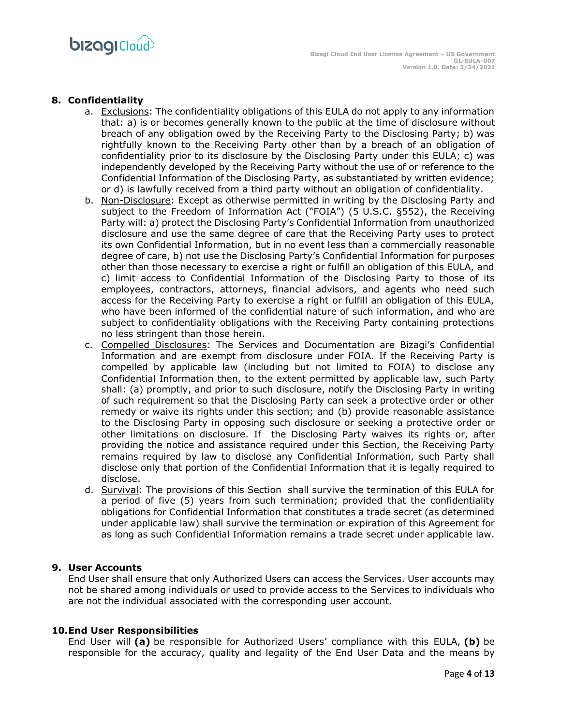# **8. Confidentiality**

- a. Exclusions: The confidentiality obligations of this EULA do not apply to any information that: a) is or becomes generally known to the public at the time of disclosure without breach of any obligation owed by the Receiving Party to the Disclosing Party; b) was rightfully known to the Receiving Party other than by a breach of an obligation of confidentiality prior to its disclosure by the Disclosing Party under this EULA; c) was independently developed by the Receiving Party without the use of or reference to the Confidential Information of the Disclosing Party, as substantiated by written evidence; or d) is lawfully received from a third party without an obligation of confidentiality.
- b. Non-Disclosure: Except as otherwise permitted in writing by the Disclosing Party and subject to the Freedom of Information Act ("FOIA") (5 U.S.C. §552), the Receiving Party will: a) protect the Disclosing Party's Confidential Information from unauthorized disclosure and use the same degree of care that the Receiving Party uses to protect its own Confidential Information, but in no event less than a commercially reasonable degree of care, b) not use the Disclosing Party's Confidential Information for purposes other than those necessary to exercise a right or fulfill an obligation of this EULA, and c) limit access to Confidential Information of the Disclosing Party to those of its employees, contractors, attorneys, financial advisors, and agents who need such access for the Receiving Party to exercise a right or fulfill an obligation of this EULA, who have been informed of the confidential nature of such information, and who are subject to confidentiality obligations with the Receiving Party containing protections no less stringent than those herein.
- c. Compelled Disclosures: The Services and Documentation are Bizagi's Confidential Information and are exempt from disclosure under FOIA. If the Receiving Party is compelled by applicable law (including but not limited to FOIA) to disclose any Confidential Information then, to the extent permitted by applicable law, such Party shall: (a) promptly, and prior to such disclosure, notify the Disclosing Party in writing of such requirement so that the Disclosing Party can seek a protective order or other remedy or waive its rights under this section; and (b) provide reasonable assistance to the Disclosing Party in opposing such disclosure or seeking a protective order or other limitations on disclosure. If the Disclosing Party waives its rights or, after providing the notice and assistance required under this Section, the Receiving Party remains required by law to disclose any Confidential Information, such Party shall disclose only that portion of the Confidential Information that it is legally required to disclose.
- d. Survival: The provisions of this Section shall survive the termination of this EULA for a period of five (5) years from such termination; provided that the confidentiality obligations for Confidential Information that constitutes a trade secret (as determined under applicable law) shall survive the termination or expiration of this Agreement for as long as such Confidential Information remains a trade secret under applicable law.

# **9. User Accounts**

End User shall ensure that only Authorized Users can access the Services. User accounts may not be shared among individuals or used to provide access to the Services to individuals who are not the individual associated with the corresponding user account.

#### **10.End User Responsibilities**

End User will **(a)** be responsible for Authorized Users' compliance with this EULA, **(b)** be responsible for the accuracy, quality and legality of the End User Data and the means by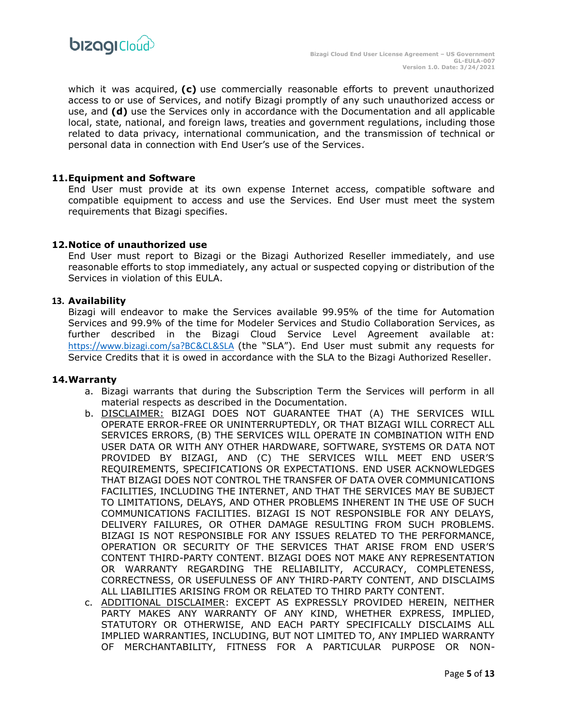

which it was acquired, **(c)** use commercially reasonable efforts to prevent unauthorized access to or use of Services, and notify Bizagi promptly of any such unauthorized access or use, and **(d)** use the Services only in accordance with the Documentation and all applicable local, state, national, and foreign laws, treaties and government regulations, including those related to data privacy, international communication, and the transmission of technical or personal data in connection with End User's use of the Services.

## **11.Equipment and Software**

End User must provide at its own expense Internet access, compatible software and compatible equipment to access and use the Services. End User must meet the system requirements that Bizagi specifies.

#### **12.Notice of unauthorized use**

End User must report to Bizagi or the Bizagi Authorized Reseller immediately, and use reasonable efforts to stop immediately, any actual or suspected copying or distribution of the Services in violation of this EULA.

#### **13. Availability**

Bizagi will endeavor to make the Services available 99.95% of the time for Automation Services and 99.9% of the time for Modeler Services and Studio Collaboration Services, as further described in the Bizagi Cloud Service Level Agreement available at: [https://www.bizagi.com/sa?BC&CL&SLA](https://resourcesbizagi.azureedge.net/docs/StandardAgreements_2/Cloud/Service-Description/Service-Level-Agreement-NA.pdf) (the "SLA"). End User must submit any requests for Service Credits that it is owed in accordance with the SLA to the Bizagi Authorized Reseller.

#### **14.Warranty**

- a. Bizagi warrants that during the Subscription Term the Services will perform in all material respects as described in the Documentation.
- b. DISCLAIMER: BIZAGI DOES NOT GUARANTEE THAT (A) THE SERVICES WILL OPERATE ERROR-FREE OR UNINTERRUPTEDLY, OR THAT BIZAGI WILL CORRECT ALL SERVICES ERRORS, (B) THE SERVICES WILL OPERATE IN COMBINATION WITH END USER DATA OR WITH ANY OTHER HARDWARE, SOFTWARE, SYSTEMS OR DATA NOT PROVIDED BY BIZAGI, AND (C) THE SERVICES WILL MEET END USER'S REQUIREMENTS, SPECIFICATIONS OR EXPECTATIONS. END USER ACKNOWLEDGES THAT BIZAGI DOES NOT CONTROL THE TRANSFER OF DATA OVER COMMUNICATIONS FACILITIES, INCLUDING THE INTERNET, AND THAT THE SERVICES MAY BE SUBJECT TO LIMITATIONS, DELAYS, AND OTHER PROBLEMS INHERENT IN THE USE OF SUCH COMMUNICATIONS FACILITIES. BIZAGI IS NOT RESPONSIBLE FOR ANY DELAYS, DELIVERY FAILURES, OR OTHER DAMAGE RESULTING FROM SUCH PROBLEMS. BIZAGI IS NOT RESPONSIBLE FOR ANY ISSUES RELATED TO THE PERFORMANCE, OPERATION OR SECURITY OF THE SERVICES THAT ARISE FROM END USER'S CONTENT THIRD-PARTY CONTENT. BIZAGI DOES NOT MAKE ANY REPRESENTATION OR WARRANTY REGARDING THE RELIABILITY, ACCURACY, COMPLETENESS, CORRECTNESS, OR USEFULNESS OF ANY THIRD-PARTY CONTENT, AND DISCLAIMS ALL LIABILITIES ARISING FROM OR RELATED TO THIRD PARTY CONTENT.
- c. ADDITIONAL DISCLAIMER: EXCEPT AS EXPRESSLY PROVIDED HEREIN, NEITHER PARTY MAKES ANY WARRANTY OF ANY KIND, WHETHER EXPRESS, IMPLIED, STATUTORY OR OTHERWISE, AND EACH PARTY SPECIFICALLY DISCLAIMS ALL IMPLIED WARRANTIES, INCLUDING, BUT NOT LIMITED TO, ANY IMPLIED WARRANTY OF MERCHANTABILITY, FITNESS FOR A PARTICULAR PURPOSE OR NON-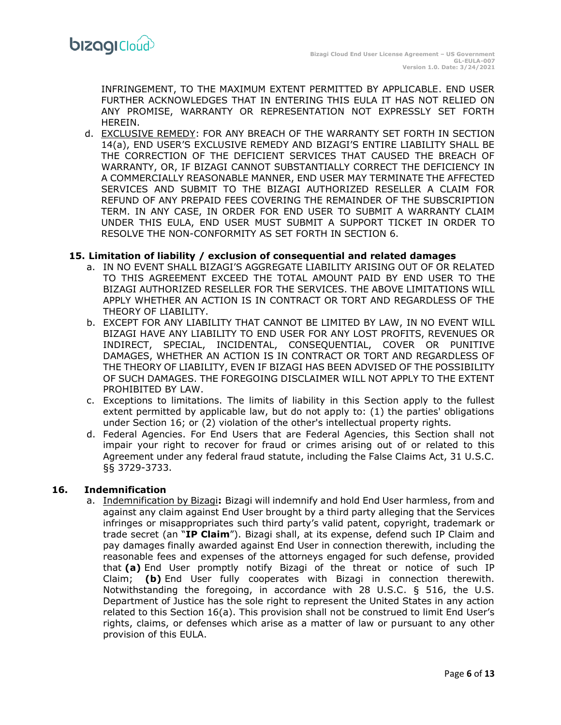INFRINGEMENT, TO THE MAXIMUM EXTENT PERMITTED BY APPLICABLE. END USER FURTHER ACKNOWLEDGES THAT IN ENTERING THIS EULA IT HAS NOT RELIED ON ANY PROMISE, WARRANTY OR REPRESENTATION NOT EXPRESSLY SET FORTH HEREIN.

d. EXCLUSIVE REMEDY: FOR ANY BREACH OF THE WARRANTY SET FORTH IN SECTION 14(a), END USER'S EXCLUSIVE REMEDY AND BIZAGI'S ENTIRE LIABILITY SHALL BE THE CORRECTION OF THE DEFICIENT SERVICES THAT CAUSED THE BREACH OF WARRANTY, OR, IF BIZAGI CANNOT SUBSTANTIALLY CORRECT THE DEFICIENCY IN A COMMERCIALLY REASONABLE MANNER, END USER MAY TERMINATE THE AFFECTED SERVICES AND SUBMIT TO THE BIZAGI AUTHORIZED RESELLER A CLAIM FOR REFUND OF ANY PREPAID FEES COVERING THE REMAINDER OF THE SUBSCRIPTION TERM. IN ANY CASE, IN ORDER FOR END USER TO SUBMIT A WARRANTY CLAIM UNDER THIS EULA, END USER MUST SUBMIT A SUPPORT TICKET IN ORDER TO RESOLVE THE NON-CONFORMITY AS SET FORTH IN SECTION 6.

## **15. Limitation of liability / exclusion of consequential and related damages**

- a. IN NO EVENT SHALL BIZAGI'S AGGREGATE LIABILITY ARISING OUT OF OR RELATED TO THIS AGREEMENT EXCEED THE TOTAL AMOUNT PAID BY END USER TO THE BIZAGI AUTHORIZED RESELLER FOR THE SERVICES. THE ABOVE LIMITATIONS WILL APPLY WHETHER AN ACTION IS IN CONTRACT OR TORT AND REGARDLESS OF THE THEORY OF LIABILITY.
- b. EXCEPT FOR ANY LIABILITY THAT CANNOT BE LIMITED BY LAW, IN NO EVENT WILL BIZAGI HAVE ANY LIABILITY TO END USER FOR ANY LOST PROFITS, REVENUES OR INDIRECT, SPECIAL, INCIDENTAL, CONSEQUENTIAL, COVER OR PUNITIVE DAMAGES, WHETHER AN ACTION IS IN CONTRACT OR TORT AND REGARDLESS OF THE THEORY OF LIABILITY, EVEN IF BIZAGI HAS BEEN ADVISED OF THE POSSIBILITY OF SUCH DAMAGES. THE FOREGOING DISCLAIMER WILL NOT APPLY TO THE EXTENT PROHIBITED BY LAW.
- c. Exceptions to limitations. The limits of liability in this Section apply to the fullest extent permitted by applicable law, but do not apply to: (1) the parties' obligations under Section 16; or (2) violation of the other's intellectual property rights.
- d. Federal Agencies. For End Users that are Federal Agencies, this Section shall not impair your right to recover for fraud or crimes arising out of or related to this Agreement under any federal fraud statute, including the False Claims Act, 31 U.S.C. §§ 3729-3733.

## **16. Indemnification**

a. Indemnification by Bizagi**:** Bizagi will indemnify and hold End User harmless, from and against any claim against End User brought by a third party alleging that the Services infringes or misappropriates such third party's valid patent, copyright, trademark or trade secret (an "**IP Claim**"). Bizagi shall, at its expense, defend such IP Claim and pay damages finally awarded against End User in connection therewith, including the reasonable fees and expenses of the attorneys engaged for such defense, provided that **(a)** End User promptly notify Bizagi of the threat or notice of such IP Claim; **(b)** End User fully cooperates with Bizagi in connection therewith. Notwithstanding the foregoing, in accordance with 28 U.S.C. § 516, the U.S. Department of Justice has the sole right to represent the United States in any action related to this Section 16(a). This provision shall not be construed to limit End User's rights, claims, or defenses which arise as a matter of law or pursuant to any other provision of this EULA.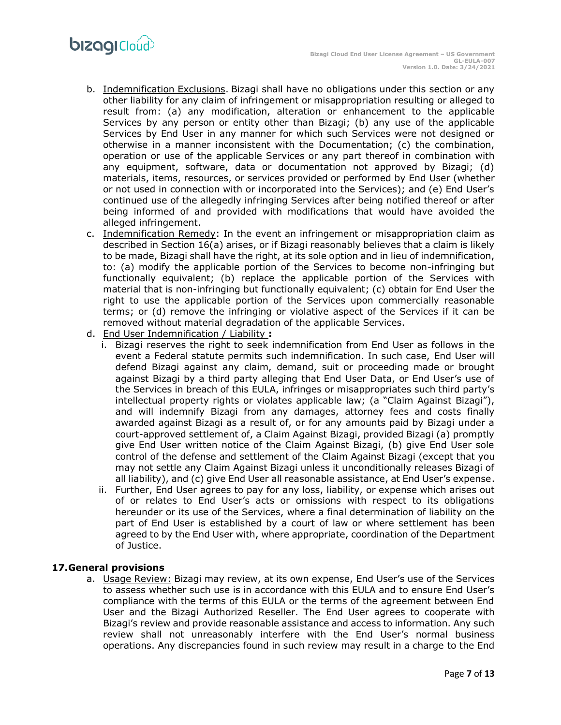- b. Indemnification Exclusions. Bizagi shall have no obligations under this section or any other liability for any claim of infringement or misappropriation resulting or alleged to result from: (a) any modification, alteration or enhancement to the applicable Services by any person or entity other than Bizagi; (b) any use of the applicable Services by End User in any manner for which such Services were not designed or otherwise in a manner inconsistent with the Documentation; (c) the combination, operation or use of the applicable Services or any part thereof in combination with any equipment, software, data or documentation not approved by Bizagi; (d) materials, items, resources, or services provided or performed by End User (whether or not used in connection with or incorporated into the Services); and (e) End User's continued use of the allegedly infringing Services after being notified thereof or after being informed of and provided with modifications that would have avoided the alleged infringement.
- c. Indemnification Remedy: In the event an infringement or misappropriation claim as described in Section 16(a) arises, or if Bizagi reasonably believes that a claim is likely to be made, Bizagi shall have the right, at its sole option and in lieu of indemnification, to: (a) modify the applicable portion of the Services to become non-infringing but functionally equivalent; (b) replace the applicable portion of the Services with material that is non-infringing but functionally equivalent; (c) obtain for End User the right to use the applicable portion of the Services upon commercially reasonable terms; or (d) remove the infringing or violative aspect of the Services if it can be removed without material degradation of the applicable Services.
- d. End User Indemnification / Liability **:**
	- i. Bizagi reserves the right to seek indemnification from End User as follows in the event a Federal statute permits such indemnification. In such case, End User will defend Bizagi against any claim, demand, suit or proceeding made or brought against Bizagi by a third party alleging that End User Data, or End User's use of the Services in breach of this EULA, infringes or misappropriates such third party's intellectual property rights or violates applicable law; (a "Claim Against Bizagi"), and will indemnify Bizagi from any damages, attorney fees and costs finally awarded against Bizagi as a result of, or for any amounts paid by Bizagi under a court-approved settlement of, a Claim Against Bizagi, provided Bizagi (a) promptly give End User written notice of the Claim Against Bizagi, (b) give End User sole control of the defense and settlement of the Claim Against Bizagi (except that you may not settle any Claim Against Bizagi unless it unconditionally releases Bizagi of all liability), and (c) give End User all reasonable assistance, at End User's expense.
	- ii. Further, End User agrees to pay for any loss, liability, or expense which arises out of or relates to End User's acts or omissions with respect to its obligations hereunder or its use of the Services, where a final determination of liability on the part of End User is established by a court of law or where settlement has been agreed to by the End User with, where appropriate, coordination of the Department of Justice.

# **17.General provisions**

a. Usage Review: Bizagi may review, at its own expense, End User's use of the Services to assess whether such use is in accordance with this EULA and to ensure End User's compliance with the terms of this EULA or the terms of the agreement between End User and the Bizagi Authorized Reseller. The End User agrees to cooperate with Bizagi's review and provide reasonable assistance and access to information. Any such review shall not unreasonably interfere with the End User's normal business operations. Any discrepancies found in such review may result in a charge to the End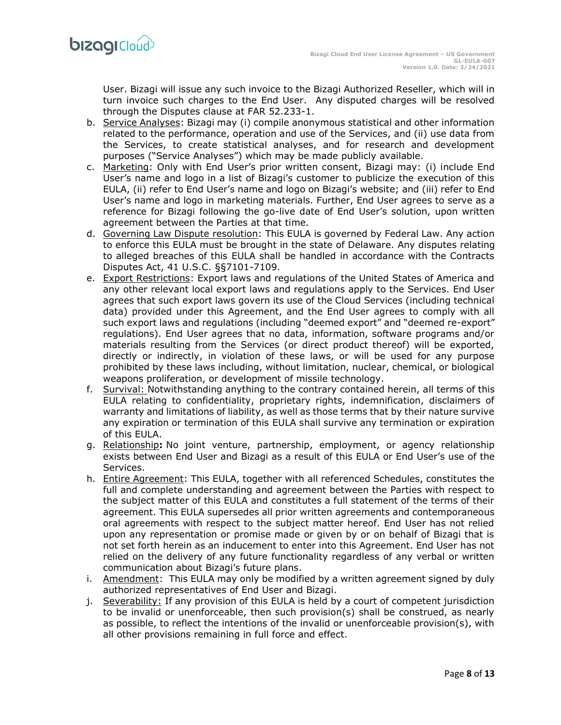User. Bizagi will issue any such invoice to the Bizagi Authorized Reseller, which will in turn invoice such charges to the End User. Any disputed charges will be resolved through the Disputes clause at FAR 52.233-1.

- b. Service Analyses: Bizagi may (i) compile anonymous statistical and other information related to the performance, operation and use of the Services, and (ii) use data from the Services, to create statistical analyses, and for research and development purposes ("Service Analyses") which may be made publicly available.
- c. Marketing: Only with End User's prior written consent, Bizagi may: (i) include End User's name and logo in a list of Bizagi's customer to publicize the execution of this EULA, (ii) refer to End User's name and logo on Bizagi's website; and (iii) refer to End User's name and logo in marketing materials. Further, End User agrees to serve as a reference for Bizagi following the go-live date of End User's solution, upon written agreement between the Parties at that time.
- d. Governing Law Dispute resolution: This EULA is governed by Federal Law. Any action to enforce this EULA must be brought in the state of Delaware. Any disputes relating to alleged breaches of this EULA shall be handled in accordance with the Contracts Disputes Act, 41 U.S.C. §§7101-7109.
- e. Export Restrictions: Export laws and regulations of the United States of America and any other relevant local export laws and regulations apply to the Services. End User agrees that such export laws govern its use of the Cloud Services (including technical data) provided under this Agreement, and the End User agrees to comply with all such export laws and regulations (including "deemed export" and "deemed re-export" regulations). End User agrees that no data, information, software programs and/or materials resulting from the Services (or direct product thereof) will be exported, directly or indirectly, in violation of these laws, or will be used for any purpose prohibited by these laws including, without limitation, nuclear, chemical, or biological weapons proliferation, or development of missile technology.
- f. Survival: Notwithstanding anything to the contrary contained herein, all terms of this EULA relating to confidentiality, proprietary rights, indemnification, disclaimers of warranty and limitations of liability, as well as those terms that by their nature survive any expiration or termination of this EULA shall survive any termination or expiration of this EULA.
- g. Relationship**:** No joint venture, partnership, employment, or agency relationship exists between End User and Bizagi as a result of this EULA or End User's use of the Services.
- h. Entire Agreement: This EULA, together with all referenced Schedules, constitutes the full and complete understanding and agreement between the Parties with respect to the subject matter of this EULA and constitutes a full statement of the terms of their agreement. This EULA supersedes all prior written agreements and contemporaneous oral agreements with respect to the subject matter hereof. End User has not relied upon any representation or promise made or given by or on behalf of Bizagi that is not set forth herein as an inducement to enter into this Agreement. End User has not relied on the delivery of any future functionality regardless of any verbal or written communication about Bizagi's future plans.
- i. Amendment: This EULA may only be modified by a written agreement signed by duly authorized representatives of End User and Bizagi.
- j. Severability: If any provision of this EULA is held by a court of competent jurisdiction to be invalid or unenforceable, then such provision(s) shall be construed, as nearly as possible, to reflect the intentions of the invalid or unenforceable provision(s), with all other provisions remaining in full force and effect.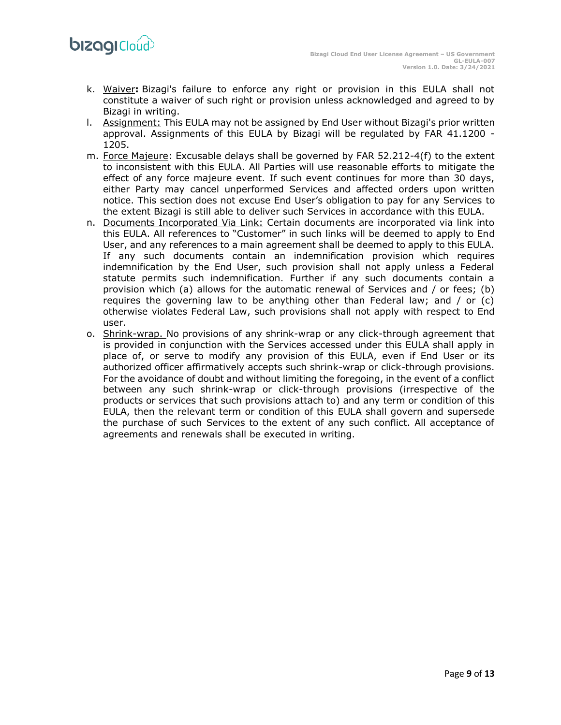- k. Waiver**:** Bizagi's failure to enforce any right or provision in this EULA shall not constitute a waiver of such right or provision unless acknowledged and agreed to by Bizagi in writing.
- l. Assignment: This EULA may not be assigned by End User without Bizagi's prior written approval. Assignments of this EULA by Bizagi will be regulated by FAR 41.1200 - 1205.
- m. Force Majeure: Excusable delays shall be governed by FAR 52.212-4(f) to the extent to inconsistent with this EULA. All Parties will use reasonable efforts to mitigate the effect of any force majeure event. If such event continues for more than 30 days, either Party may cancel unperformed Services and affected orders upon written notice. This section does not excuse End User's obligation to pay for any Services to the extent Bizagi is still able to deliver such Services in accordance with this EULA.
- n. Documents Incorporated Via Link: Certain documents are incorporated via link into this EULA. All references to "Customer" in such links will be deemed to apply to End User, and any references to a main agreement shall be deemed to apply to this EULA. If any such documents contain an indemnification provision which requires indemnification by the End User, such provision shall not apply unless a Federal statute permits such indemnification. Further if any such documents contain a provision which (a) allows for the automatic renewal of Services and / or fees; (b) requires the governing law to be anything other than Federal law; and / or (c) otherwise violates Federal Law, such provisions shall not apply with respect to End user.
- o. Shrink-wrap. No provisions of any shrink-wrap or any click-through agreement that is provided in conjunction with the Services accessed under this EULA shall apply in place of, or serve to modify any provision of this EULA, even if End User or its authorized officer affirmatively accepts such shrink-wrap or click-through provisions. For the avoidance of doubt and without limiting the foregoing, in the event of a conflict between any such shrink-wrap or click-through provisions (irrespective of the products or services that such provisions attach to) and any term or condition of this EULA, then the relevant term or condition of this EULA shall govern and supersede the purchase of such Services to the extent of any such conflict. All acceptance of agreements and renewals shall be executed in writing.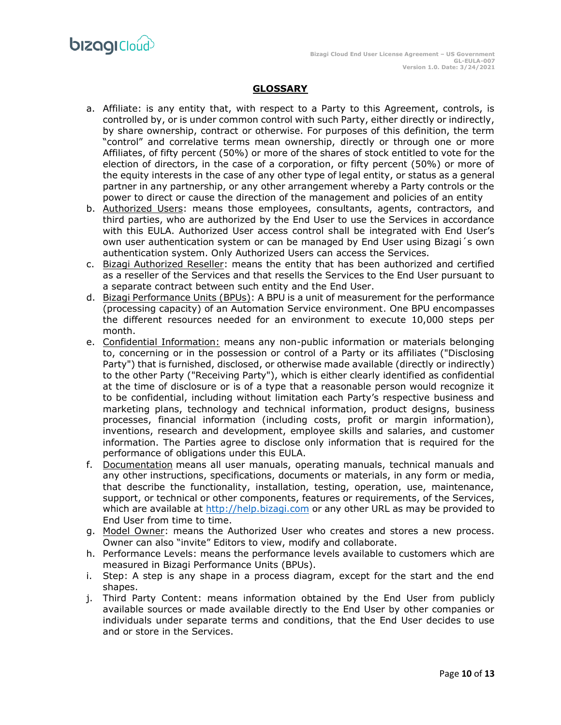

# **GLOSSARY**

- a. Affiliate: is any entity that, with respect to a Party to this Agreement, controls, is controlled by, or is under common control with such Party, either directly or indirectly, by share ownership, contract or otherwise. For purposes of this definition, the term "control" and correlative terms mean ownership, directly or through one or more Affiliates, of fifty percent (50%) or more of the shares of stock entitled to vote for the election of directors, in the case of a corporation, or fifty percent (50%) or more of the equity interests in the case of any other type of legal entity, or status as a general partner in any partnership, or any other arrangement whereby a Party controls or the power to direct or cause the direction of the management and policies of an entity
- b. Authorized Users: means those employees, consultants, agents, contractors, and third parties, who are authorized by the End User to use the Services in accordance with this EULA. Authorized User access control shall be integrated with End User's own user authentication system or can be managed by End User using Bizagi´s own authentication system. Only Authorized Users can access the Services.
- c. Bizagi Authorized Reseller: means the entity that has been authorized and certified as a reseller of the Services and that resells the Services to the End User pursuant to a separate contract between such entity and the End User.
- d. Bizagi Performance Units (BPUs): A BPU is a unit of measurement for the performance (processing capacity) of an Automation Service environment. One BPU encompasses the different resources needed for an environment to execute 10,000 steps per month.
- e. Confidential Information: means any non-public information or materials belonging to, concerning or in the possession or control of a Party or its affiliates ("Disclosing Party") that is furnished, disclosed, or otherwise made available (directly or indirectly) to the other Party ("Receiving Party"), which is either clearly identified as confidential at the time of disclosure or is of a type that a reasonable person would recognize it to be confidential, including without limitation each Party's respective business and marketing plans, technology and technical information, product designs, business processes, financial information (including costs, profit or margin information), inventions, research and development, employee skills and salaries, and customer information. The Parties agree to disclose only information that is required for the performance of obligations under this EULA.
- f. Documentation means all user manuals, operating manuals, technical manuals and any other instructions, specifications, documents or materials, in any form or media, that describe the functionality, installation, testing, operation, use, maintenance, support, or technical or other components, features or requirements, of the Services, which are available at [http://help.bizagi.com](http://help.bizagi.com/) or any other URL as may be provided to End User from time to time.
- g. Model Owner: means the Authorized User who creates and stores a new process. Owner can also "invite" Editors to view, modify and collaborate.
- h. Performance Levels: means the performance levels available to customers which are measured in Bizagi Performance Units (BPUs).
- i. Step: A step is any shape in a process diagram, except for the start and the end shapes.
- j. Third Party Content: means information obtained by the End User from publicly available sources or made available directly to the End User by other companies or individuals under separate terms and conditions, that the End User decides to use and or store in the Services.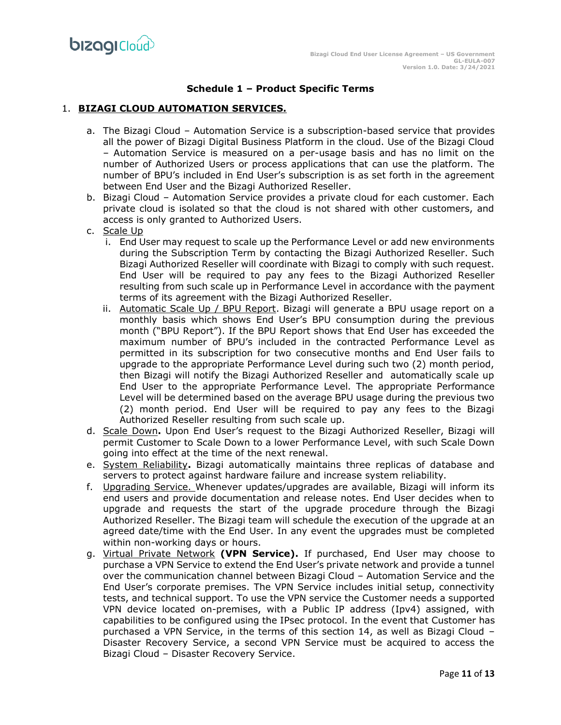# **Schedule 1 – Product Specific Terms**

## 1. **BIZAGI CLOUD AUTOMATION SERVICES.**

- a. The Bizagi Cloud Automation Service is a subscription-based service that provides all the power of Bizagi Digital Business Platform in the cloud. Use of the Bizagi Cloud – Automation Service is measured on a per-usage basis and has no limit on the number of Authorized Users or process applications that can use the platform. The number of BPU's included in End User's subscription is as set forth in the agreement between End User and the Bizagi Authorized Reseller.
- b. Bizagi Cloud Automation Service provides a private cloud for each customer. Each private cloud is isolated so that the cloud is not shared with other customers, and access is only granted to Authorized Users.
- c. Scale Up
	- i. End User may request to scale up the Performance Level or add new environments during the Subscription Term by contacting the Bizagi Authorized Reseller. Such Bizagi Authorized Reseller will coordinate with Bizagi to comply with such request. End User will be required to pay any fees to the Bizagi Authorized Reseller resulting from such scale up in Performance Level in accordance with the payment terms of its agreement with the Bizagi Authorized Reseller.
	- ii. Automatic Scale Up / BPU Report. Bizagi will generate a BPU usage report on a monthly basis which shows End User's BPU consumption during the previous month ("BPU Report"). If the BPU Report shows that End User has exceeded the maximum number of BPU's included in the contracted Performance Level as permitted in its subscription for two consecutive months and End User fails to upgrade to the appropriate Performance Level during such two (2) month period, then Bizagi will notify the Bizagi Authorized Reseller and automatically scale up End User to the appropriate Performance Level. The appropriate Performance Level will be determined based on the average BPU usage during the previous two (2) month period. End User will be required to pay any fees to the Bizagi Authorized Reseller resulting from such scale up.
- d. Scale Down**.** Upon End User's request to the Bizagi Authorized Reseller, Bizagi will permit Customer to Scale Down to a lower Performance Level, with such Scale Down going into effect at the time of the next renewal.
- e. System Reliability**.** Bizagi automatically maintains three replicas of database and servers to protect against hardware failure and increase system reliability.
- f. Upgrading Service. Whenever updates/upgrades are available, Bizagi will inform its end users and provide documentation and release notes. End User decides when to upgrade and requests the start of the upgrade procedure through the Bizagi Authorized Reseller. The Bizagi team will schedule the execution of the upgrade at an agreed date/time with the End User. In any event the upgrades must be completed within non-working days or hours.
- g. Virtual Private Network **(VPN Service).** If purchased, End User may choose to purchase a VPN Service to extend the End User's private network and provide a tunnel over the communication channel between Bizagi Cloud – Automation Service and the End User's corporate premises. The VPN Service includes initial setup, connectivity tests, and technical support. To use the VPN service the Customer needs a supported VPN device located on-premises, with a Public IP address (Ipv4) assigned, with capabilities to be configured using the IPsec protocol. In the event that Customer has purchased a VPN Service, in the terms of this section 14, as well as Bizagi Cloud – Disaster Recovery Service, a second VPN Service must be acquired to access the Bizagi Cloud – Disaster Recovery Service.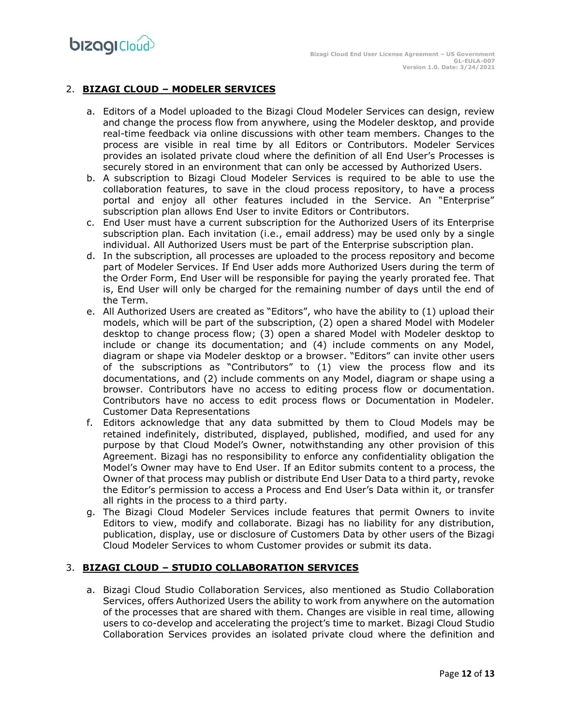# 2. **BIZAGI CLOUD – MODELER SERVICES**

- a. Editors of a Model uploaded to the Bizagi Cloud Modeler Services can design, review and change the process flow from anywhere, using the Modeler desktop, and provide real-time feedback via online discussions with other team members. Changes to the process are visible in real time by all Editors or Contributors. Modeler Services provides an isolated private cloud where the definition of all End User's Processes is securely stored in an environment that can only be accessed by Authorized Users.
- b. A subscription to Bizagi Cloud Modeler Services is required to be able to use the collaboration features, to save in the cloud process repository, to have a process portal and enjoy all other features included in the Service. An "Enterprise" subscription plan allows End User to invite Editors or Contributors.
- c. End User must have a current subscription for the Authorized Users of its Enterprise subscription plan. Each invitation (i.e., email address) may be used only by a single individual. All Authorized Users must be part of the Enterprise subscription plan.
- d. In the subscription, all processes are uploaded to the process repository and become part of Modeler Services. If End User adds more Authorized Users during the term of the Order Form, End User will be responsible for paying the yearly prorated fee. That is, End User will only be charged for the remaining number of days until the end of the Term.
- e. All Authorized Users are created as "Editors", who have the ability to (1) upload their models, which will be part of the subscription, (2) open a shared Model with Modeler desktop to change process flow; (3) open a shared Model with Modeler desktop to include or change its documentation; and (4) include comments on any Model, diagram or shape via Modeler desktop or a browser. "Editors" can invite other users of the subscriptions as "Contributors" to (1) view the process flow and its documentations, and (2) include comments on any Model, diagram or shape using a browser. Contributors have no access to editing process flow or documentation. Contributors have no access to edit process flows or Documentation in Modeler. Customer Data Representations
- f. Editors acknowledge that any data submitted by them to Cloud Models may be retained indefinitely, distributed, displayed, published, modified, and used for any purpose by that Cloud Model's Owner, notwithstanding any other provision of this Agreement. Bizagi has no responsibility to enforce any confidentiality obligation the Model's Owner may have to End User. If an Editor submits content to a process, the Owner of that process may publish or distribute End User Data to a third party, revoke the Editor's permission to access a Process and End User's Data within it, or transfer all rights in the process to a third party.
- g. The Bizagi Cloud Modeler Services include features that permit Owners to invite Editors to view, modify and collaborate. Bizagi has no liability for any distribution, publication, display, use or disclosure of Customers Data by other users of the Bizagi Cloud Modeler Services to whom Customer provides or submit its data.

# 3. **BIZAGI CLOUD – STUDIO COLLABORATION SERVICES**

a. Bizagi Cloud Studio Collaboration Services, also mentioned as Studio Collaboration Services, offers Authorized Users the ability to work from anywhere on the automation of the processes that are shared with them. Changes are visible in real time, allowing users to co-develop and accelerating the project's time to market. Bizagi Cloud Studio Collaboration Services provides an isolated private cloud where the definition and